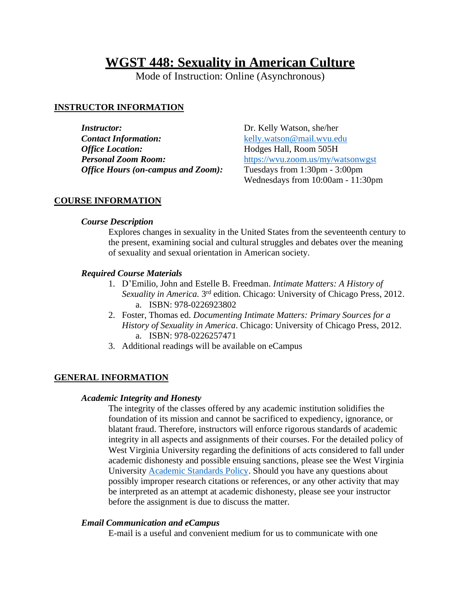# **WGST 448: Sexuality in American Culture**

Mode of Instruction: Online (Asynchronous)

# **INSTRUCTOR INFORMATION**

*Instructor:* Dr. Kelly Watson, she/her **Contact Information:** [kelly.watson@mail.wvu.edu](mailto:kelly.watson@mail.wvu.edu) *Office Location:* Hodges Hall, Room 505H *Personal Zoom Room:* <https://wvu.zoom.us/my/watsonwgst> *Office Hours (on-campus and Zoom):* Tuesdays from 1:30pm - 3:00pm

Wednesdays from 10:00am - 11:30pm

## **COURSE INFORMATION**

## *Course Description*

Explores changes in sexuality in the United States from the seventeenth century to the present, examining social and cultural struggles and debates over the meaning of sexuality and sexual orientation in American society.

## *Required Course Materials*

- 1. D'Emilio, John and Estelle B. Freedman. *Intimate Matters: A History of*  Sexuality in America. 3<sup>rd</sup> edition. Chicago: University of Chicago Press, 2012. a. ISBN: 978-0226923802
- 2. Foster, Thomas ed. *Documenting Intimate Matters: Primary Sources for a History of Sexuality in America*. Chicago: University of Chicago Press, 2012. a. ISBN: 978-0226257471
- 3. Additional readings will be available on eCampus

# **GENERAL INFORMATION**

### *Academic Integrity and Honesty*

The integrity of the classes offered by any academic institution solidifies the foundation of its mission and cannot be sacrificed to expediency, ignorance, or blatant fraud. Therefore, instructors will enforce rigorous standards of academic integrity in all aspects and assignments of their courses. For the detailed policy of West Virginia University regarding the definitions of acts considered to fall under academic dishonesty and possible ensuing sanctions, please see the West Virginia University [Academic Standards Policy.](http://catalog.wvu.edu/undergraduate/coursecreditstermsclassification/) Should you have any questions about possibly improper research citations or references, or any other activity that may be interpreted as an attempt at academic dishonesty, please see your instructor before the assignment is due to discuss the matter.

## *Email Communication and eCampus*

E-mail is a useful and convenient medium for us to communicate with one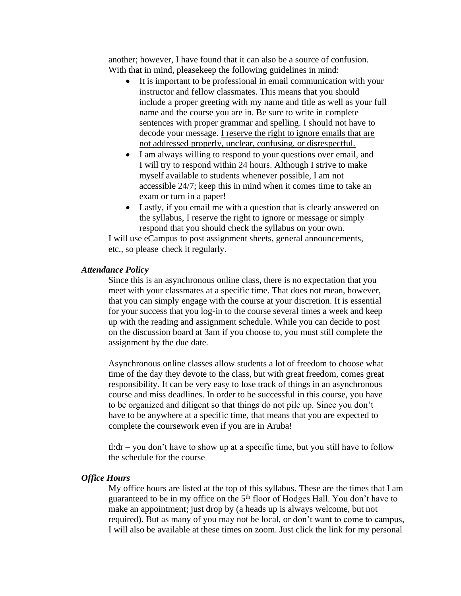another; however, I have found that it can also be a source of confusion. With that in mind, pleasekeep the following guidelines in mind:

- It is important to be professional in email communication with your instructor and fellow classmates. This means that you should include a proper greeting with my name and title as well as your full name and the course you are in. Be sure to write in complete sentences with proper grammar and spelling. I should not have to decode your message. I reserve the right to ignore emails that are not addressed properly, unclear, confusing, or disrespectful.
- I am always willing to respond to your questions over email, and I will try to respond within 24 hours. Although I strive to make myself available to students whenever possible, I am not accessible 24/7; keep this in mind when it comes time to take an exam or turn in a paper!
- Lastly, if you email me with a question that is clearly answered on the syllabus, I reserve the right to ignore or message or simply respond that you should check the syllabus on your own.

I will use eCampus to post assignment sheets, general announcements, etc., so please check it regularly.

#### *Attendance Policy*

Since this is an asynchronous online class, there is no expectation that you meet with your classmates at a specific time. That does not mean, however, that you can simply engage with the course at your discretion. It is essential for your success that you log-in to the course several times a week and keep up with the reading and assignment schedule. While you can decide to post on the discussion board at 3am if you choose to, you must still complete the assignment by the due date.

Asynchronous online classes allow students a lot of freedom to choose what time of the day they devote to the class, but with great freedom, comes great responsibility. It can be very easy to lose track of things in an asynchronous course and miss deadlines. In order to be successful in this course, you have to be organized and diligent so that things do not pile up. Since you don't have to be anywhere at a specific time, that means that you are expected to complete the coursework even if you are in Aruba!

tl:dr – you don't have to show up at a specific time, but you still have to follow the schedule for the course

#### *Office Hours*

My office hours are listed at the top of this syllabus. These are the times that I am guaranteed to be in my office on the 5<sup>th</sup> floor of Hodges Hall. You don't have to make an appointment; just drop by (a heads up is always welcome, but not required). But as many of you may not be local, or don't want to come to campus, I will also be available at these times on zoom. Just click the link for my personal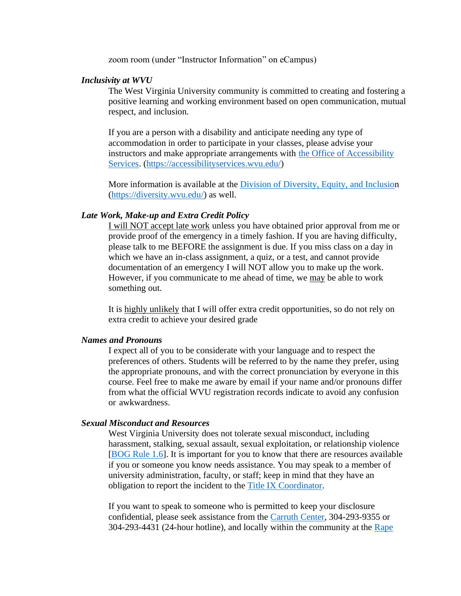zoom room (under "Instructor Information" on eCampus)

#### *Inclusivity at WVU*

The West Virginia University community is committed to creating and fostering a positive learning and working environment based on open communication, mutual respect, and inclusion.

If you are a person with a disability and anticipate needing any type of accommodation in order to participate in your classes, please advise your instructors and make appropriate arrangements with [the Office of Accessibility](/Users/kellywatson/Downloads/the%20Office%20of%20Accessibility%20Services)  [Services.](/Users/kellywatson/Downloads/the%20Office%20of%20Accessibility%20Services) [\(https://accessibilityservices.wvu.edu/\)](https://accessibilityservices.wvu.edu/)

More information is available at the [Division of Diversity, Equity, and Inclusion](http://diversity.wvu.edu/) [\(https://diversity.wvu.edu/\)](https://diversity.wvu.edu/) as well.

#### *Late Work, Make-up and Extra Credit Policy*

I will NOT accept late work unless you have obtained prior approval from me or provide proof of the emergency in a timely fashion. If you are having difficulty, please talk to me BEFORE the assignment is due. If you miss class on a day in which we have an in-class assignment, a quiz, or a test, and cannot provide documentation of an emergency I will NOT allow you to make up the work. However, if you communicate to me ahead of time, we may be able to work something out.

It is highly unlikely that I will offer extra credit opportunities, so do not rely on extra credit to achieve your desired grade

#### *Names and Pronouns*

I expect all of you to be considerate with your language and to respect the preferences of others. Students will be referred to by the name they prefer, using the appropriate pronouns, and with the correct pronunciation by everyone in this course. Feel free to make me aware by email if your name and/or pronouns differ from what the official WVU registration records indicate to avoid any confusion or awkwardness.

#### *Sexual Misconduct and Resources*

West Virginia University does not tolerate sexual misconduct, including harassment, stalking, sexual assault, sexual exploitation, or relationship violence [\[BOG Rule 1.6\]](https://policies.wvu.edu/finalized-bog-rules/bog-governance-rule-1-6-rule). It is important for you to know that there are resources available if you or someone you know needs assistance. You may speak to a member of university administration, faculty, or staff; keep in mind that they have an obligation to report the incident to the [Title IX Coordinator.](http://titleix.wvu.edu/what-is-title-ix/who-is-the-title-ix-coordinator)

If you want to speak to someone who is permitted to keep your disclosure confidential, please seek assistance from the [Carruth Center,](http://carruth.wvu.edu/) 304-293-9355 or 304-293-4431 (24-hour hotline), and locally within the community at the [Rape](http://www.rdvic.org/)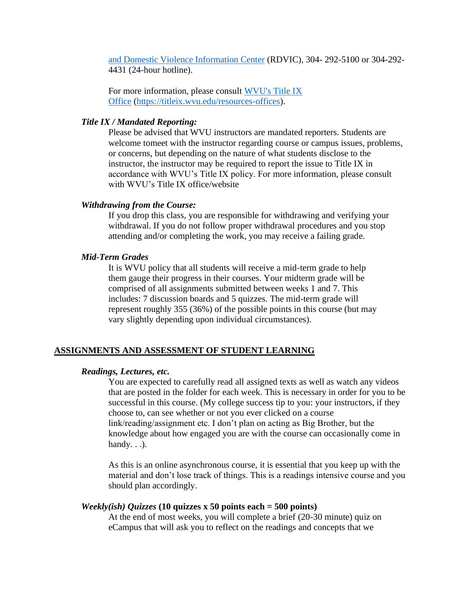[and Domestic Violence Information Center](http://www.rdvic.org/) (RDVIC), 304- 292-5100 or 304-292- 4431 (24-hour hotline).

For more information, please consult [WVU's Title IX](/Users/kellywatson/Downloads/WVU)  [Office](/Users/kellywatson/Downloads/WVU) [\(https://titleix.wvu.edu/resources-offices\)](https://titleix.wvu.edu/resources-offices).

### *Title IX / Mandated Reporting:*

Please be advised that WVU instructors are mandated reporters. Students are welcome tomeet with the instructor regarding course or campus issues, problems, or concerns, but depending on the nature of what students disclose to the instructor, the instructor may be required to report the issue to Title IX in accordance with WVU's Title IX policy. For more information, please consult with WVU's Title IX office/website

#### *Withdrawing from the Course:*

If you drop this class, you are responsible for withdrawing and verifying your withdrawal. If you do not follow proper withdrawal procedures and you stop attending and/or completing the work, you may receive a failing grade.

#### *Mid-Term Grades*

It is WVU policy that all students will receive a mid-term grade to help them gauge their progress in their courses. Your midterm grade will be comprised of all assignments submitted between weeks 1 and 7. This includes: 7 discussion boards and 5 quizzes. The mid-term grade will represent roughly 355 (36%) of the possible points in this course (but may vary slightly depending upon individual circumstances).

#### **ASSIGNMENTS AND ASSESSMENT OF STUDENT LEARNING**

#### *Readings, Lectures, etc.*

You are expected to carefully read all assigned texts as well as watch any videos that are posted in the folder for each week. This is necessary in order for you to be successful in this course. (My college success tip to you: your instructors, if they choose to, can see whether or not you ever clicked on a course link/reading/assignment etc. I don't plan on acting as Big Brother, but the knowledge about how engaged you are with the course can occasionally come in handy.  $\ldots$ ).

As this is an online asynchronous course, it is essential that you keep up with the material and don't lose track of things. This is a readings intensive course and you should plan accordingly.

#### *Weekly(ish) Quizzes* **(10 quizzes x 50 points each = 500 points)**

At the end of most weeks, you will complete a brief (20-30 minute) quiz on eCampus that will ask you to reflect on the readings and concepts that we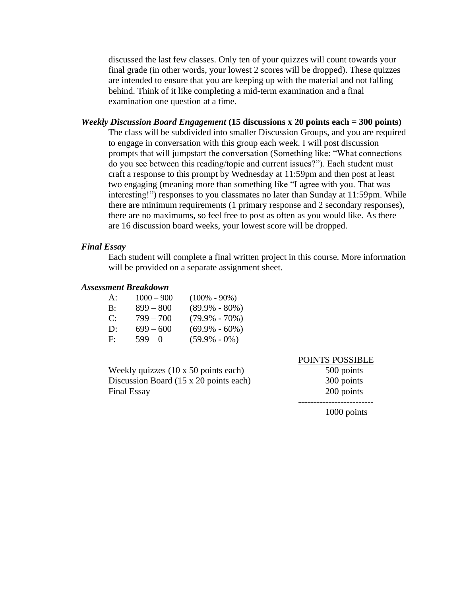discussed the last few classes. Only ten of your quizzes will count towards your final grade (in other words, your lowest 2 scores will be dropped). These quizzes are intended to ensure that you are keeping up with the material and not falling behind. Think of it like completing a mid-term examination and a final examination one question at a time.

#### *Weekly Discussion Board Engagement* **(15 discussions x 20 points each = 300 points)**

The class will be subdivided into smaller Discussion Groups, and you are required to engage in conversation with this group each week. I will post discussion prompts that will jumpstart the conversation (Something like: "What connections do you see between this reading/topic and current issues?"). Each student must craft a response to this prompt by Wednesday at 11:59pm and then post at least two engaging (meaning more than something like "I agree with you. That was interesting!") responses to you classmates no later than Sunday at 11:59pm. While there are minimum requirements (1 primary response and 2 secondary responses), there are no maximums, so feel free to post as often as you would like. As there are 16 discussion board weeks, your lowest score will be dropped.

#### *Final Essay*

Each student will complete a final written project in this course. More information will be provided on a separate assignment sheet.

#### *Assessment Breakdown*

| A: | $1000 - 900$ | $(100\% - 90\%)$  |
|----|--------------|-------------------|
| B: | $899 - 800$  | $(89.9\% - 80\%)$ |
| C: | $799 - 700$  | $(79.9\% - 70\%)$ |
| D: | $699 - 600$  | $(69.9\% - 60\%)$ |
| F: | $599-0$      | $(59.9\% - 0\%)$  |

Weekly quizzes (10 x 50 points each) 500 points Discussion Board (15 x 20 points each) 300 points Final Essay 200 points

#### POINTS POSSIBLE

-------------------------

1000 points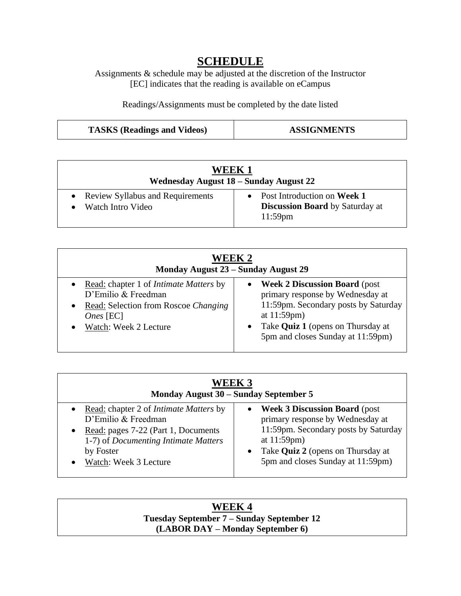# **SCHEDULE**

Assignments & schedule may be adjusted at the discretion of the Instructor [EC] indicates that the reading is available on eCampus

Readings/Assignments must be completed by the date listed

| <b>TASKS</b> (Readings and Videos) | <b>ASSIGNMENTS</b> |
|------------------------------------|--------------------|
|------------------------------------|--------------------|

| WEEK 1<br>Wednesday August 18 – Sunday August 22        |                                                                                       |  |
|---------------------------------------------------------|---------------------------------------------------------------------------------------|--|
| • Review Syllabus and Requirements<br>Watch Intro Video | • Post Introduction on Week 1<br><b>Discussion Board</b> by Saturday at<br>$11:59$ pm |  |

| WEEK 2<br>Monday August 23 - Sunday August 29   |                                          |  |
|-------------------------------------------------|------------------------------------------|--|
| • Read: chapter 1 of <i>Intimate Matters</i> by | <b>Week 2 Discussion Board (post)</b>    |  |
| D'Emilio & Freedman                             | primary response by Wednesday at         |  |
| Read: Selection from Roscoe Changing            | 11:59pm. Secondary posts by Saturday     |  |
| $\bullet$                                       | at $11:59$ pm $)$                        |  |
| <i>Ones</i> [EC]                                | Take <b>Quiz 1</b> (opens on Thursday at |  |
| Watch: Week 2 Lecture                           | 5pm and closes Sunday at 11:59pm)        |  |

| <b>WEEK 3</b><br>Monday August 30 – Sunday September 5 |                                       |  |
|--------------------------------------------------------|---------------------------------------|--|
| • Read: chapter 2 of <i>Intimate Matters</i> by        | <b>Week 3 Discussion Board (post)</b> |  |
| D'Emilio & Freedman                                    | primary response by Wednesday at      |  |
| Read: pages 7-22 (Part 1, Documents                    | 11:59pm. Secondary posts by Saturday  |  |
| 1-7) of Documenting Intimate Matters                   | at $11:59$ pm $)$                     |  |
| by Foster                                              | • Take Quiz 2 (opens on Thursday at   |  |
| Watch: Week 3 Lecture                                  | 5pm and closes Sunday at 11:59pm)     |  |

# **WEEK 4 Tuesday September 7 – Sunday September 12 (LABOR DAY – Monday September 6)**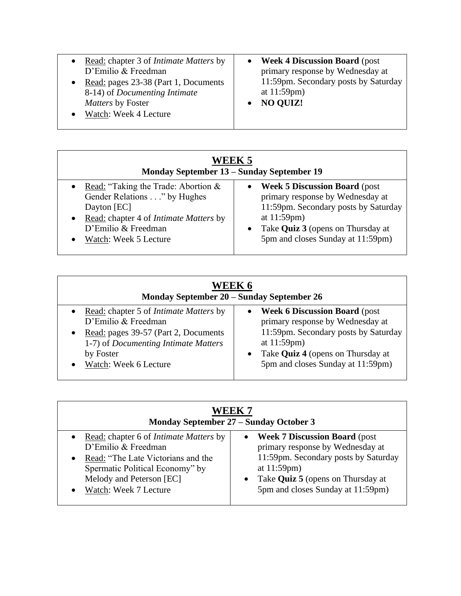- Read: chapter 3 of *Intimate Matters* by D'Emilio & Freedman
- Read: pages 23-38 (Part 1, Documents 8-14) of *Documenting Intimate Matters* by Foster
- Watch: Week 4 Lecture
- **Week 4 Discussion Board** (post primary response by Wednesday at 11:59pm. Secondary posts by Saturday at 11:59pm)
- **NO QUIZ!**

| WEEK 5<br>Monday September 13 – Sunday September 19 |                                       |  |
|-----------------------------------------------------|---------------------------------------|--|
| • Read: "Taking the Trade: Abortion $&$             | <b>Week 5 Discussion Board (post)</b> |  |
| Gender Relations" by Hughes                         | primary response by Wednesday at      |  |
| Dayton [EC]                                         | 11:59pm. Secondary posts by Saturday  |  |
| • Read: chapter 4 of <i>Intimate Matters</i> by     | at $11:59$ pm $)$                     |  |
| D'Emilio & Freedman                                 | Take Quiz 3 (opens on Thursday at     |  |
| Watch: Week 5 Lecture                               | 5pm and closes Sunday at 11:59pm)     |  |

| WEEK 6<br>Monday September 20 – Sunday September 26                                                                                                                                                              |                                                                                                                                                                                                                           |  |
|------------------------------------------------------------------------------------------------------------------------------------------------------------------------------------------------------------------|---------------------------------------------------------------------------------------------------------------------------------------------------------------------------------------------------------------------------|--|
| • Read: chapter 5 of <i>Intimate Matters</i> by<br>D'Emilio & Freedman<br>Read: pages 39-57 (Part 2, Documents<br>$\bullet$<br>1-7) of <i>Documenting Intimate Matters</i><br>by Foster<br>Watch: Week 6 Lecture | <b>Week 6 Discussion Board (post)</b><br>primary response by Wednesday at<br>11:59pm. Secondary posts by Saturday<br>at $11:59$ pm $)$<br>• Take <b>Quiz 4</b> (opens on Thursday at<br>5pm and closes Sunday at 11:59pm) |  |

| WEEK 7<br>Monday September 27 – Sunday October 3 |                                       |  |
|--------------------------------------------------|---------------------------------------|--|
| • Read: chapter 6 of <i>Intimate Matters</i> by  | <b>Week 7 Discussion Board (post)</b> |  |
| D'Emilio & Freedman                              | primary response by Wednesday at      |  |
| Read: "The Late Victorians and the               | 11:59pm. Secondary posts by Saturday  |  |
| Spermatic Political Economy" by                  | at $11:59$ pm $)$                     |  |
| Melody and Peterson [EC]                         | Take Quiz 5 (opens on Thursday at     |  |
| Watch: Week 7 Lecture                            | 5pm and closes Sunday at 11:59pm)     |  |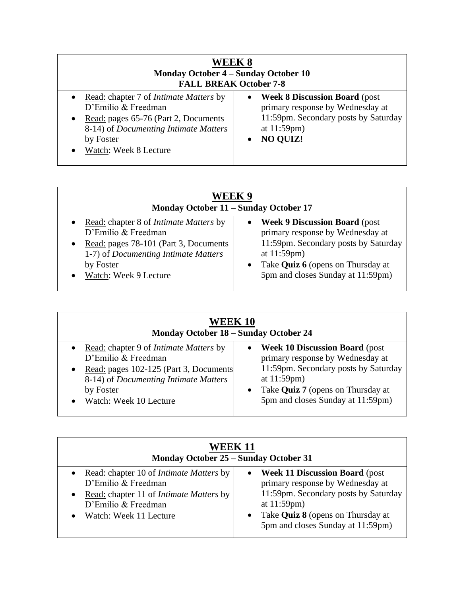| <b>WEEK 8</b><br><b>Monday October 4 – Sunday October 10</b><br><b>FALL BREAK October 7-8</b>                                                                                                            |                                                                                                                                                     |  |
|----------------------------------------------------------------------------------------------------------------------------------------------------------------------------------------------------------|-----------------------------------------------------------------------------------------------------------------------------------------------------|--|
| • Read: chapter 7 of <i>Intimate Matters</i> by<br>D'Emilio & Freedman<br>• Read: pages $65-76$ (Part 2, Documents<br>8-14) of <i>Documenting Intimate Matters</i><br>by Foster<br>Watch: Week 8 Lecture | • Week 8 Discussion Board (post<br>primary response by Wednesday at<br>11:59pm. Secondary posts by Saturday<br>at $11:59$ pm $)$<br><b>NO QUIZ!</b> |  |

| WEEK 9<br>Monday October 11 - Sunday October 17 |                                            |  |
|-------------------------------------------------|--------------------------------------------|--|
| • Read: chapter 8 of <i>Intimate Matters</i> by | • Week 9 Discussion Board (post            |  |
| D'Emilio & Freedman                             | primary response by Wednesday at           |  |
| • Read: pages 78-101 (Part 3, Documents         | 11:59pm. Secondary posts by Saturday       |  |
| 1-7) of <i>Documenting Intimate Matters</i>     | at $11:59$ pm $)$                          |  |
| by Foster                                       | • Take <b>Quiz 6</b> (opens on Thursday at |  |
| Watch: Week 9 Lecture                           | 5pm and closes Sunday at 11:59pm)          |  |

| <b>WEEK 10</b><br><b>Monday October 18 - Sunday October 24</b>                                                                                                                                   |                                                                                                                                                                                                                                  |  |
|--------------------------------------------------------------------------------------------------------------------------------------------------------------------------------------------------|----------------------------------------------------------------------------------------------------------------------------------------------------------------------------------------------------------------------------------|--|
| • Read: chapter 9 of <i>Intimate Matters</i> by<br>D'Emilio & Freedman<br>Read: pages 102-125 (Part 3, Documents<br>8-14) of Documenting Intimate Matters<br>by Foster<br>Watch: Week 10 Lecture | <b>Week 10 Discussion Board (post)</b><br>$\bullet$<br>primary response by Wednesday at<br>11:59pm. Secondary posts by Saturday<br>at $11:59$ pm $)$<br>• Take Quiz 7 (opens on Thursday at<br>5pm and closes Sunday at 11:59pm) |  |

| <b>WEEK 11</b><br>Monday October 25 – Sunday October 31                                                                                                                                 |                                                                                                                                                                                                                                  |  |
|-----------------------------------------------------------------------------------------------------------------------------------------------------------------------------------------|----------------------------------------------------------------------------------------------------------------------------------------------------------------------------------------------------------------------------------|--|
| • Read: chapter 10 of <i>Intimate Matters</i> by<br>D'Emilio & Freedman<br>Read: chapter 11 of <i>Intimate Matters</i> by<br>$\bullet$<br>D'Emilio & Freedman<br>Watch: Week 11 Lecture | <b>Week 11 Discussion Board (post)</b><br>$\bullet$<br>primary response by Wednesday at<br>11:59pm. Secondary posts by Saturday<br>at $11:59$ pm $)$<br>• Take Quiz 8 (opens on Thursday at<br>5pm and closes Sunday at 11:59pm) |  |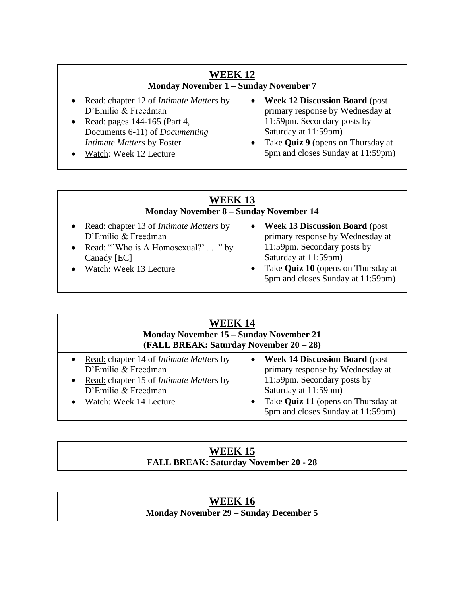| <b>WEEK 12</b><br><b>Monday November 1 - Sunday November 7</b>                                                                                                                                               |                                                                                                                                                                                                                                       |  |
|--------------------------------------------------------------------------------------------------------------------------------------------------------------------------------------------------------------|---------------------------------------------------------------------------------------------------------------------------------------------------------------------------------------------------------------------------------------|--|
| • Read: chapter 12 of <i>Intimate Matters</i> by<br>D'Emilio & Freedman<br>• Read: pages $144-165$ (Part 4,<br>Documents 6-11) of <i>Documenting</i><br>Intimate Matters by Foster<br>Watch: Week 12 Lecture | <b>Week 12 Discussion Board (post)</b><br>$\bullet$<br>primary response by Wednesday at<br>11:59pm. Secondary posts by<br>Saturday at 11:59pm)<br>Take Quiz 9 (opens on Thursday at<br>$\bullet$<br>5pm and closes Sunday at 11:59pm) |  |

| <b>WEEK 13</b><br><b>Monday November 8 - Sunday November 14</b>                                                                                    |                                                                                                                                                                                                                                        |  |
|----------------------------------------------------------------------------------------------------------------------------------------------------|----------------------------------------------------------------------------------------------------------------------------------------------------------------------------------------------------------------------------------------|--|
| Read: chapter 13 of <i>Intimate Matters</i> by<br>D'Emilio & Freedman<br>Read: "Who is A Homosexual?"" by<br>Canady [EC]<br>Watch: Week 13 Lecture | <b>Week 13 Discussion Board (post)</b><br>$\bullet$<br>primary response by Wednesday at<br>11:59pm. Secondary posts by<br>Saturday at 11:59pm)<br>Take Quiz 10 (opens on Thursday at<br>$\bullet$<br>5pm and closes Sunday at 11:59pm) |  |

| <b>WEEK 14</b><br><b>Monday November 15 - Sunday November 21</b><br>(FALL BREAK: Saturday November 20 – 28)                                                                |                                                                                                                                                                                                                                        |  |
|----------------------------------------------------------------------------------------------------------------------------------------------------------------------------|----------------------------------------------------------------------------------------------------------------------------------------------------------------------------------------------------------------------------------------|--|
| • Read: chapter 14 of <i>Intimate Matters</i> by<br>D'Emilio & Freedman<br>Read: chapter 15 of <i>Intimate Matters</i> by<br>D'Emilio & Freedman<br>Watch: Week 14 Lecture | <b>Week 14 Discussion Board (post)</b><br>$\bullet$<br>primary response by Wednesday at<br>11:59pm. Secondary posts by<br>Saturday at 11:59pm)<br>Take Quiz 11 (opens on Thursday at<br>$\bullet$<br>5pm and closes Sunday at 11:59pm) |  |

# **WEEK 15 FALL BREAK: Saturday November 20 - 28**

# **WEEK 16 Monday November 29 – Sunday December 5**